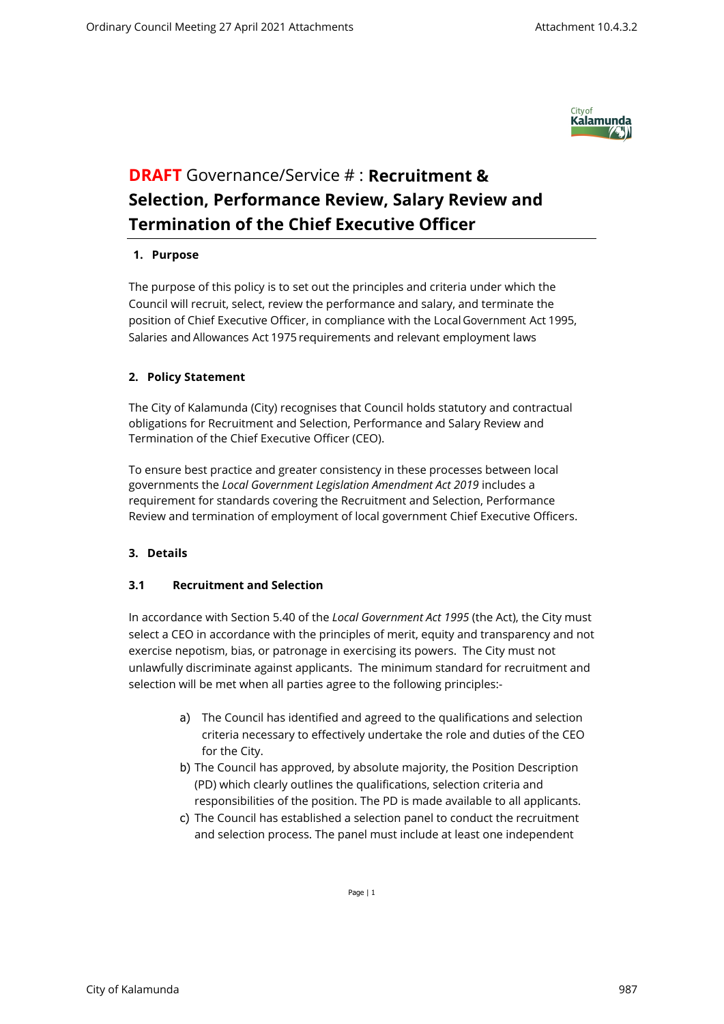

# **DRAFT** Governance/Service # : **Recruitment & Selection, Performance Review, Salary Review and Termination of the Chief Executive Officer**

#### **1. Purpose**

The purpose of this policy is to set out the principles and criteria under which the Council will recruit, select, review the performance and salary, and terminate the position of Chief Executive Officer, in compliance with the Local Government Act 1995, Salaries and Allowances Act 1975 requirements and relevant employment laws

## **2. Policy Statement**

The City of Kalamunda (City) recognises that Council holds statutory and contractual obligations for Recruitment and Selection, Performance and Salary Review and Termination of the Chief Executive Officer (CEO).

To ensure best practice and greater consistency in these processes between local governments the *Local Government Legislation Amendment Act 2019* includes a requirement for standards covering the Recruitment and Selection, Performance Review and termination of employment of local government Chief Executive Officers.

## **3. Details**

## **3.1 Recruitment and Selection**

In accordance with Section 5.40 of the *Local Government Act 1995* (the Act), the City must select a CEO in accordance with the principles of merit, equity and transparency and not exercise nepotism, bias, or patronage in exercising its powers. The City must not unlawfully discriminate against applicants. The minimum standard for recruitment and selection will be met when all parties agree to the following principles:-

- a) The Council has identified and agreed to the qualifications and selection criteria necessary to effectively undertake the role and duties of the CEO for the City.
- b) The Council has approved, by absolute majority, the Position Description (PD) which clearly outlines the qualifications, selection criteria and responsibilities of the position. The PD is made available to all applicants.
- c) The Council has established a selection panel to conduct the recruitment and selection process. The panel must include at least one independent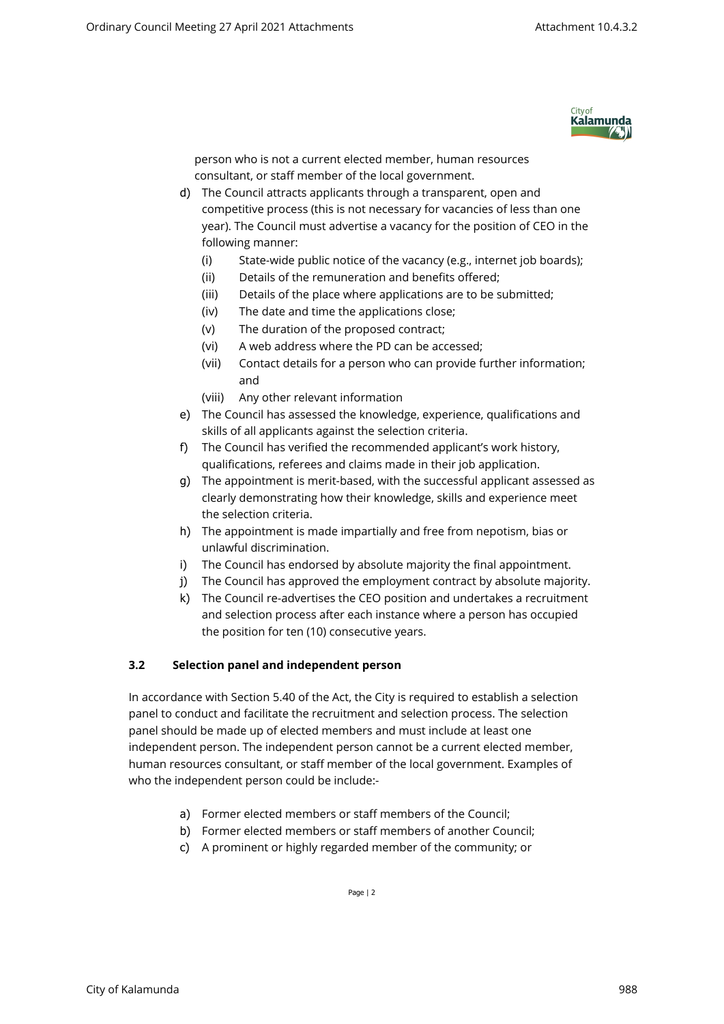

person who is not a current elected member, human resources consultant, or staff member of the local government.

- d) The Council attracts applicants through a transparent, open and competitive process (this is not necessary for vacancies of less than one year). The Council must advertise a vacancy for the position of CEO in the following manner:
	- (i) State-wide public notice of the vacancy (e.g., internet job boards);
	- (ii) Details of the remuneration and benefits offered;
	- (iii) Details of the place where applications are to be submitted;
	- (iv) The date and time the applications close;
	- (v) The duration of the proposed contract;
	- (vi) A web address where the PD can be accessed;
	- (vii) Contact details for a person who can provide further information; and
	- (viii) Any other relevant information
- e) The Council has assessed the knowledge, experience, qualifications and skills of all applicants against the selection criteria.
- f) The Council has verified the recommended applicant's work history, qualifications, referees and claims made in their job application.
- g) The appointment is merit-based, with the successful applicant assessed as clearly demonstrating how their knowledge, skills and experience meet the selection criteria.
- h) The appointment is made impartially and free from nepotism, bias or unlawful discrimination.
- i) The Council has endorsed by absolute majority the final appointment.
- j) The Council has approved the employment contract by absolute majority.
- k) The Council re-advertises the CEO position and undertakes a recruitment and selection process after each instance where a person has occupied the position for ten (10) consecutive years.

## **3.2 Selection panel and independent person**

In accordance with Section 5.40 of the Act, the City is required to establish a selection panel to conduct and facilitate the recruitment and selection process. The selection panel should be made up of elected members and must include at least one independent person. The independent person cannot be a current elected member, human resources consultant, or staff member of the local government. Examples of who the independent person could be include:-

- a) Former elected members or staff members of the Council;
- b) Former elected members or staff members of another Council;
- c) A prominent or highly regarded member of the community; or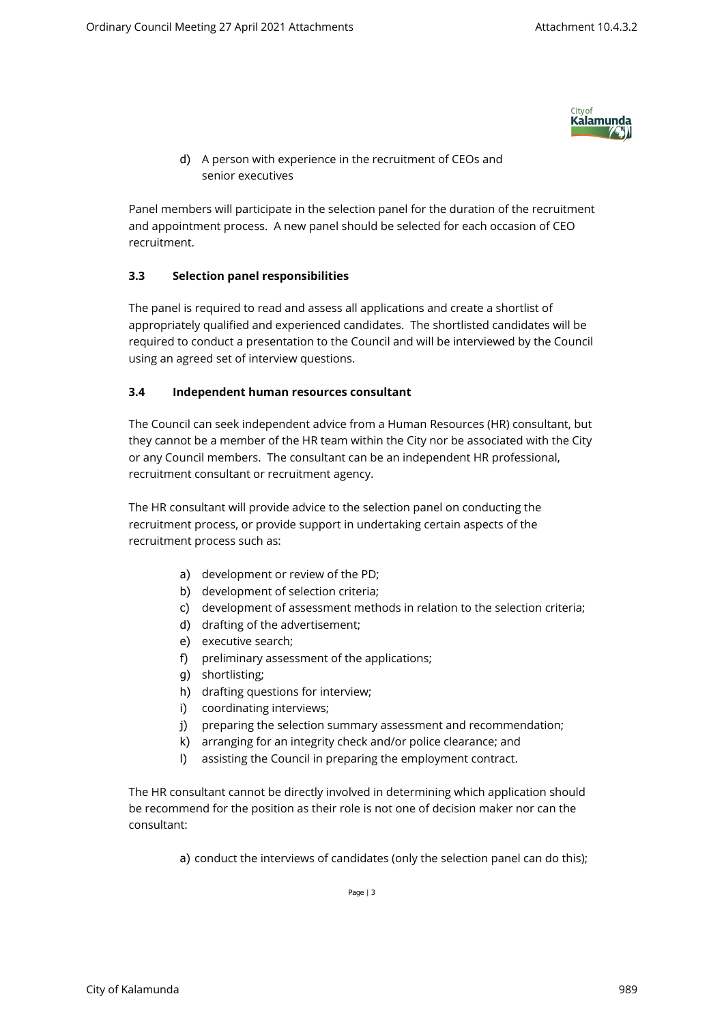

d) A person with experience in the recruitment of CEOs and senior executives

Panel members will participate in the selection panel for the duration of the recruitment and appointment process. A new panel should be selected for each occasion of CEO recruitment.

## **3.3 Selection panel responsibilities**

The panel is required to read and assess all applications and create a shortlist of appropriately qualified and experienced candidates. The shortlisted candidates will be required to conduct a presentation to the Council and will be interviewed by the Council using an agreed set of interview questions.

## **3.4 Independent human resources consultant**

The Council can seek independent advice from a Human Resources (HR) consultant, but they cannot be a member of the HR team within the City nor be associated with the City or any Council members. The consultant can be an independent HR professional, recruitment consultant or recruitment agency.

The HR consultant will provide advice to the selection panel on conducting the recruitment process, or provide support in undertaking certain aspects of the recruitment process such as:

- a) development or review of the PD;
- b) development of selection criteria;
- c) development of assessment methods in relation to the selection criteria;
- d) drafting of the advertisement;
- e) executive search;
- f) preliminary assessment of the applications;
- g) shortlisting;
- h) drafting questions for interview;
- i) coordinating interviews;
- j) preparing the selection summary assessment and recommendation;
- k) arranging for an integrity check and/or police clearance; and
- l) assisting the Council in preparing the employment contract.

The HR consultant cannot be directly involved in determining which application should be recommend for the position as their role is not one of decision maker nor can the consultant:

a) conduct the interviews of candidates (only the selection panel can do this);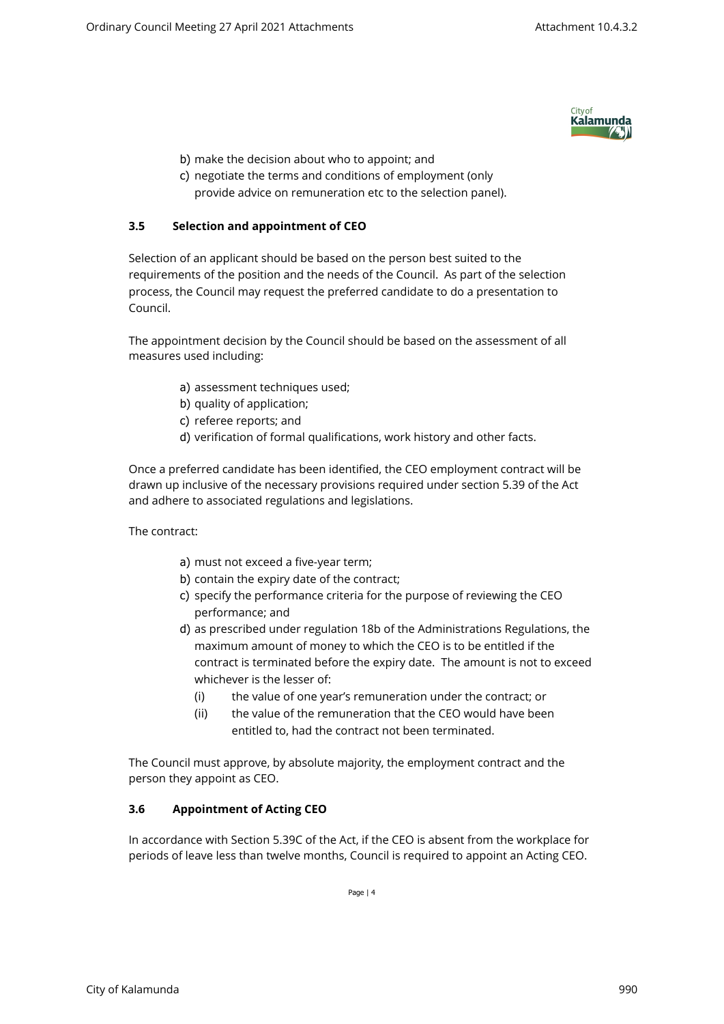

- b) make the decision about who to appoint; and
- c) negotiate the terms and conditions of employment (only provide advice on remuneration etc to the selection panel).

## **3.5 Selection and appointment of CEO**

Selection of an applicant should be based on the person best suited to the requirements of the position and the needs of the Council. As part of the selection process, the Council may request the preferred candidate to do a presentation to Council.

The appointment decision by the Council should be based on the assessment of all measures used including:

- a) assessment techniques used;
- b) quality of application;
- c) referee reports; and
- d) verification of formal qualifications, work history and other facts.

Once a preferred candidate has been identified, the CEO employment contract will be drawn up inclusive of the necessary provisions required under section 5.39 of the Act and adhere to associated regulations and legislations.

The contract:

- a) must not exceed a five-year term;
- b) contain the expiry date of the contract;
- c) specify the performance criteria for the purpose of reviewing the CEO performance; and
- d) as prescribed under regulation 18b of the Administrations Regulations, the maximum amount of money to which the CEO is to be entitled if the contract is terminated before the expiry date. The amount is not to exceed whichever is the lesser of:
	- (i) the value of one year's remuneration under the contract; or
	- (ii) the value of the remuneration that the CEO would have been entitled to, had the contract not been terminated.

The Council must approve, by absolute majority, the employment contract and the person they appoint as CEO.

## **3.6 Appointment of Acting CEO**

In accordance with Section 5.39C of the Act, if the CEO is absent from the workplace for periods of leave less than twelve months, Council is required to appoint an Acting CEO.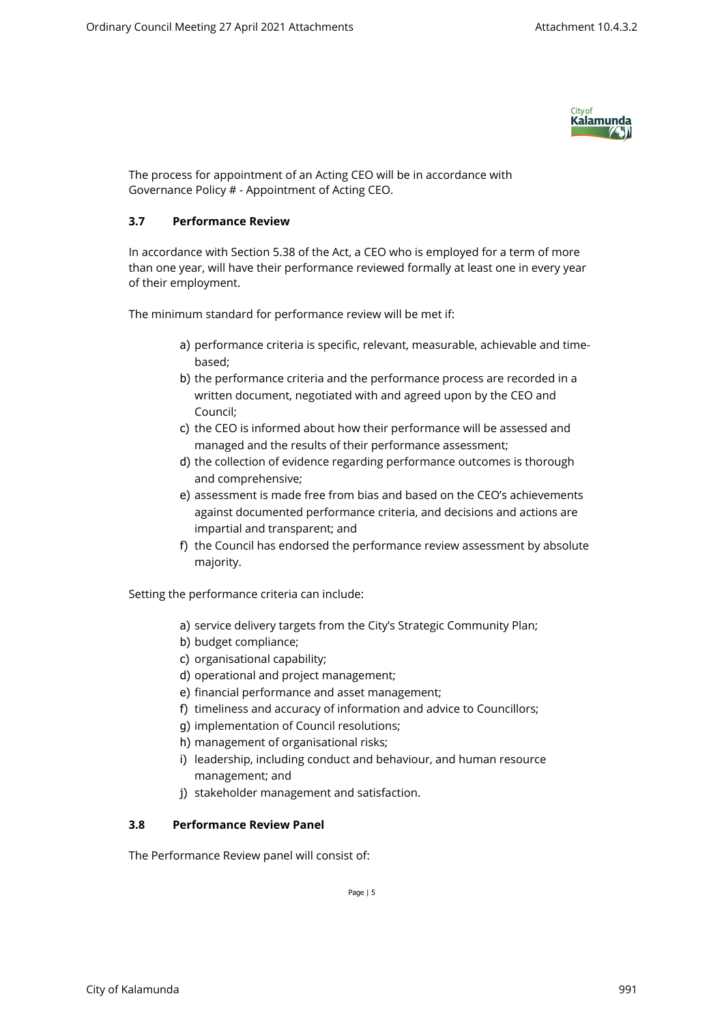

The process for appointment of an Acting CEO will be in accordance with Governance Policy # - Appointment of Acting CEO.

## **3.7 Performance Review**

In accordance with Section 5.38 of the Act, a CEO who is employed for a term of more than one year, will have their performance reviewed formally at least one in every year of their employment.

The minimum standard for performance review will be met if:

- a) performance criteria is specific, relevant, measurable, achievable and timebased;
- b) the performance criteria and the performance process are recorded in a written document, negotiated with and agreed upon by the CEO and Council;
- c) the CEO is informed about how their performance will be assessed and managed and the results of their performance assessment;
- d) the collection of evidence regarding performance outcomes is thorough and comprehensive;
- e) assessment is made free from bias and based on the CEO's achievements against documented performance criteria, and decisions and actions are impartial and transparent; and
- f) the Council has endorsed the performance review assessment by absolute majority.

Setting the performance criteria can include:

- a) service delivery targets from the City's Strategic Community Plan;
- b) budget compliance;
- c) organisational capability;
- d) operational and project management;
- e) financial performance and asset management;
- f) timeliness and accuracy of information and advice to Councillors;
- g) implementation of Council resolutions;
- h) management of organisational risks;
- i) leadership, including conduct and behaviour, and human resource management; and
- j) stakeholder management and satisfaction.

## **3.8 Performance Review Panel**

The Performance Review panel will consist of: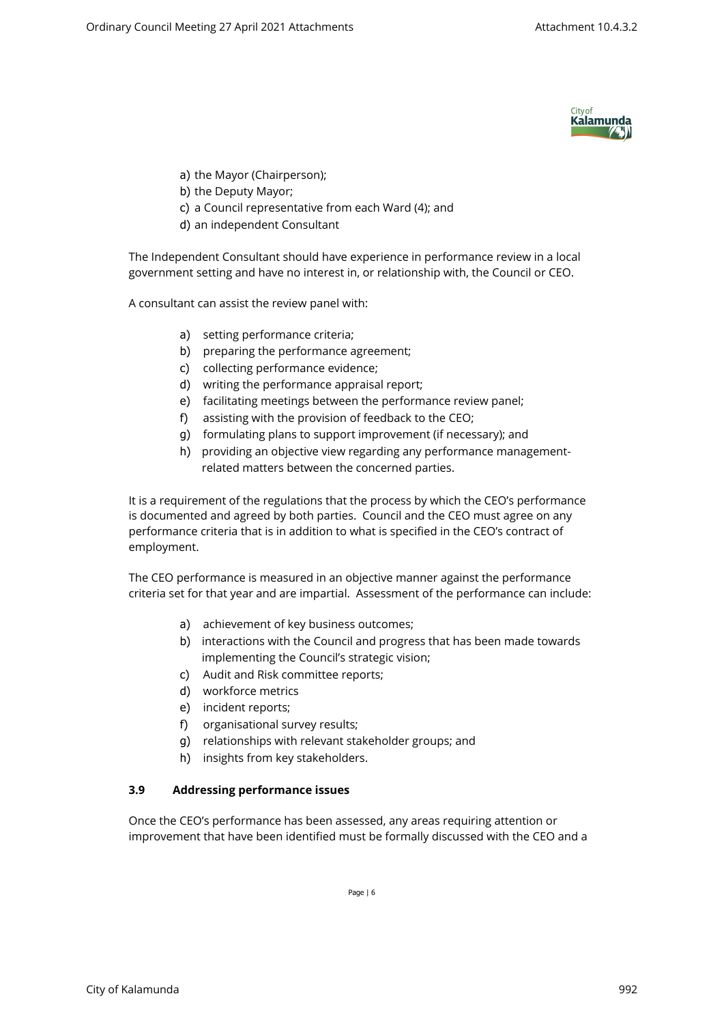

- a) the Mayor (Chairperson);
- b) the Deputy Mayor;
- c) a Council representative from each Ward (4); and
- d) an independent Consultant

The Independent Consultant should have experience in performance review in a local government setting and have no interest in, or relationship with, the Council or CEO.

A consultant can assist the review panel with:

- a) setting performance criteria;
- b) preparing the performance agreement;
- c) collecting performance evidence;
- d) writing the performance appraisal report;
- e) facilitating meetings between the performance review panel;
- f) assisting with the provision of feedback to the CEO;
- g) formulating plans to support improvement (if necessary); and
- h) providing an objective view regarding any performance managementrelated matters between the concerned parties.

It is a requirement of the regulations that the process by which the CEO's performance is documented and agreed by both parties. Council and the CEO must agree on any performance criteria that is in addition to what is specified in the CEO's contract of employment.

The CEO performance is measured in an objective manner against the performance criteria set for that year and are impartial. Assessment of the performance can include:

- a) achievement of key business outcomes;
- b) interactions with the Council and progress that has been made towards implementing the Council's strategic vision;
- c) Audit and Risk committee reports;
- d) workforce metrics
- e) incident reports;
- f) organisational survey results;
- g) relationships with relevant stakeholder groups; and
- h) insights from key stakeholders.

## **3.9 Addressing performance issues**

Once the CEO's performance has been assessed, any areas requiring attention or improvement that have been identified must be formally discussed with the CEO and a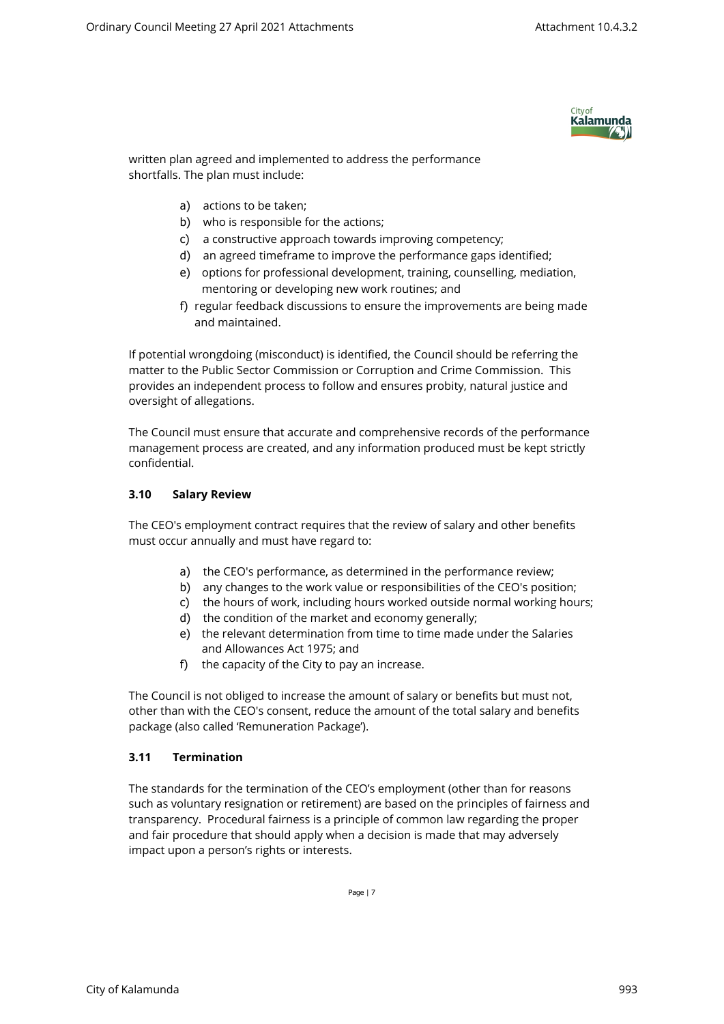

written plan agreed and implemented to address the performance shortfalls. The plan must include:

- a) actions to be taken;
- b) who is responsible for the actions;
- c) a constructive approach towards improving competency;
- d) an agreed timeframe to improve the performance gaps identified;
- e) options for professional development, training, counselling, mediation, mentoring or developing new work routines; and
- f) regular feedback discussions to ensure the improvements are being made and maintained.

If potential wrongdoing (misconduct) is identified, the Council should be referring the matter to the Public Sector Commission or Corruption and Crime Commission. This provides an independent process to follow and ensures probity, natural justice and oversight of allegations.

The Council must ensure that accurate and comprehensive records of the performance management process are created, and any information produced must be kept strictly confidential.

## **3.10 Salary Review**

The CEO's employment contract requires that the review of salary and other benefits must occur annually and must have regard to:

- a) the CEO's performance, as determined in the performance review;
- b) any changes to the work value or responsibilities of the CEO's position;
- c) the hours of work, including hours worked outside normal working hours;
- d) the condition of the market and economy generally;
- e) the relevant determination from time to time made under the Salaries and Allowances Act 1975; and
- f) the capacity of the City to pay an increase.

The Council is not obliged to increase the amount of salary or benefits but must not, other than with the CEO's consent, reduce the amount of the total salary and benefits package (also called 'Remuneration Package').

## **3.11 Termination**

The standards for the termination of the CEO's employment (other than for reasons such as voluntary resignation or retirement) are based on the principles of fairness and transparency. Procedural fairness is a principle of common law regarding the proper and fair procedure that should apply when a decision is made that may adversely impact upon a person's rights or interests.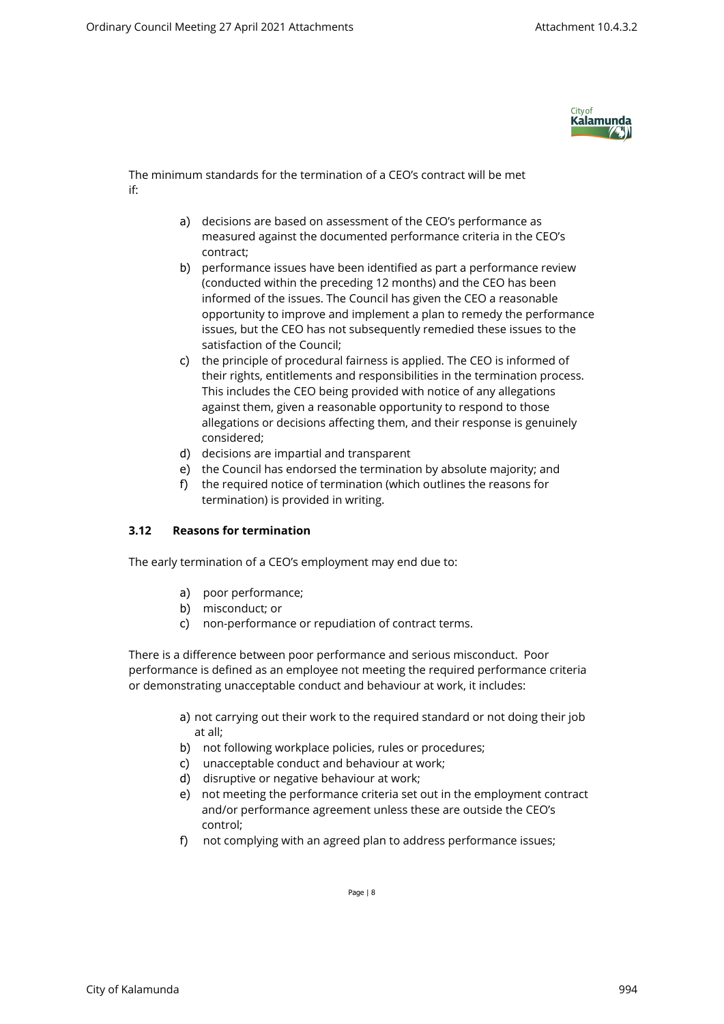

The minimum standards for the termination of a CEO's contract will be met if:

- a) decisions are based on assessment of the CEO's performance as measured against the documented performance criteria in the CEO's contract;
- b) performance issues have been identified as part a performance review (conducted within the preceding 12 months) and the CEO has been informed of the issues. The Council has given the CEO a reasonable opportunity to improve and implement a plan to remedy the performance issues, but the CEO has not subsequently remedied these issues to the satisfaction of the Council;
- c) the principle of procedural fairness is applied. The CEO is informed of their rights, entitlements and responsibilities in the termination process. This includes the CEO being provided with notice of any allegations against them, given a reasonable opportunity to respond to those allegations or decisions affecting them, and their response is genuinely considered;
- d) decisions are impartial and transparent
- e) the Council has endorsed the termination by absolute majority; and
- f) the required notice of termination (which outlines the reasons for termination) is provided in writing.

## **3.12 Reasons for termination**

The early termination of a CEO's employment may end due to:

- a) poor performance;
- b) misconduct; or
- c) non-performance or repudiation of contract terms.

There is a difference between poor performance and serious misconduct. Poor performance is defined as an employee not meeting the required performance criteria or demonstrating unacceptable conduct and behaviour at work, it includes:

- a) not carrying out their work to the required standard or not doing their job at all;
- b) not following workplace policies, rules or procedures;
- c) unacceptable conduct and behaviour at work;
- d) disruptive or negative behaviour at work;
- e) not meeting the performance criteria set out in the employment contract and/or performance agreement unless these are outside the CEO's control;
- f) not complying with an agreed plan to address performance issues;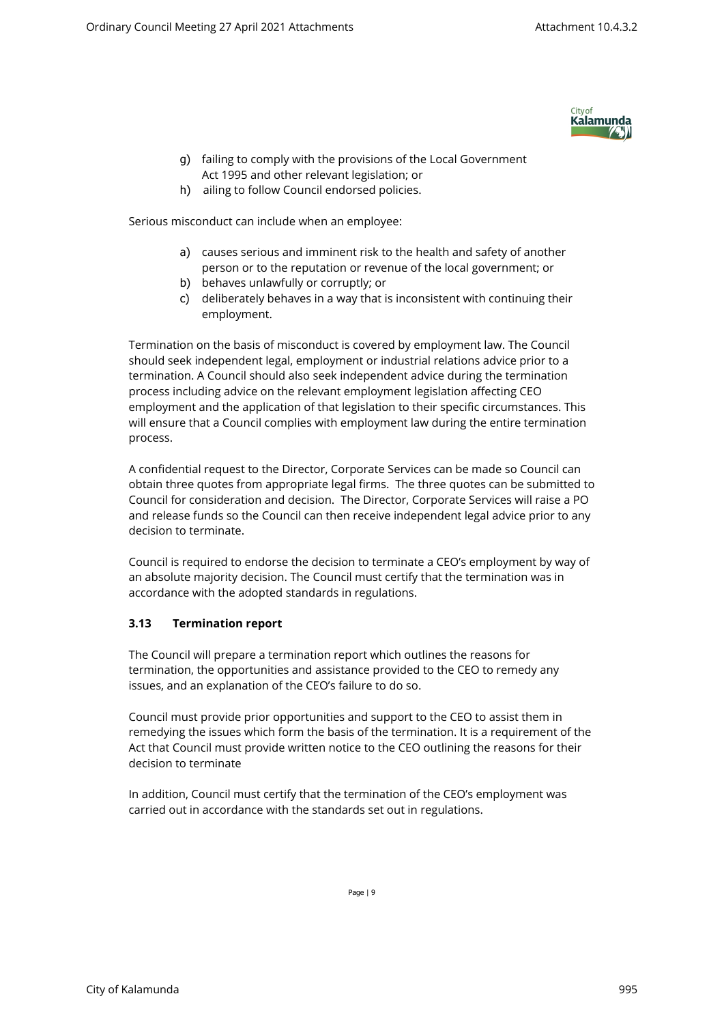

- g) failing to comply with the provisions of the Local Government Act 1995 and other relevant legislation; or
- h) ailing to follow Council endorsed policies.

Serious misconduct can include when an employee:

- a) causes serious and imminent risk to the health and safety of another person or to the reputation or revenue of the local government; or
- b) behaves unlawfully or corruptly; or
- c) deliberately behaves in a way that is inconsistent with continuing their employment.

Termination on the basis of misconduct is covered by employment law. The Council should seek independent legal, employment or industrial relations advice prior to a termination. A Council should also seek independent advice during the termination process including advice on the relevant employment legislation affecting CEO employment and the application of that legislation to their specific circumstances. This will ensure that a Council complies with employment law during the entire termination process.

A confidential request to the Director, Corporate Services can be made so Council can obtain three quotes from appropriate legal firms. The three quotes can be submitted to Council for consideration and decision. The Director, Corporate Services will raise a PO and release funds so the Council can then receive independent legal advice prior to any decision to terminate.

Council is required to endorse the decision to terminate a CEO's employment by way of an absolute majority decision. The Council must certify that the termination was in accordance with the adopted standards in regulations.

## **3.13 Termination report**

The Council will prepare a termination report which outlines the reasons for termination, the opportunities and assistance provided to the CEO to remedy any issues, and an explanation of the CEO's failure to do so.

Council must provide prior opportunities and support to the CEO to assist them in remedying the issues which form the basis of the termination. It is a requirement of the Act that Council must provide written notice to the CEO outlining the reasons for their decision to terminate

In addition, Council must certify that the termination of the CEO's employment was carried out in accordance with the standards set out in regulations.